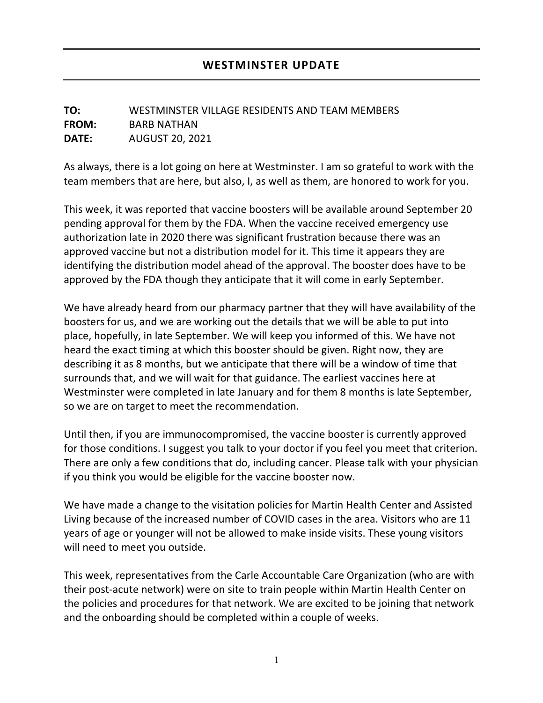## **TO:** WESTMINSTER VILLAGE RESIDENTS AND TEAM MEMBERS **FROM:** BARB NATHAN **DATE:** AUGUST 20, 2021

As always, there is a lot going on here at Westminster. I am so grateful to work with the team members that are here, but also, I, as well as them, are honored to work for you.

This week, it was reported that vaccine boosters will be available around September 20 pending approval for them by the FDA. When the vaccine received emergency use authorization late in 2020 there was significant frustration because there was an approved vaccine but not a distribution model for it. This time it appears they are identifying the distribution model ahead of the approval. The booster does have to be approved by the FDA though they anticipate that it will come in early September.

We have already heard from our pharmacy partner that they will have availability of the boosters for us, and we are working out the details that we will be able to put into place, hopefully, in late September. We will keep you informed of this. We have not heard the exact timing at which this booster should be given. Right now, they are describing it as 8 months, but we anticipate that there will be a window of time that surrounds that, and we will wait for that guidance. The earliest vaccines here at Westminster were completed in late January and for them 8 months is late September, so we are on target to meet the recommendation.

Until then, if you are immunocompromised, the vaccine booster is currently approved for those conditions. I suggest you talk to your doctor if you feel you meet that criterion. There are only a few conditions that do, including cancer. Please talk with your physician if you think you would be eligible for the vaccine booster now.

We have made a change to the visitation policies for Martin Health Center and Assisted Living because of the increased number of COVID cases in the area. Visitors who are 11 years of age or younger will not be allowed to make inside visits. These young visitors will need to meet you outside.

This week, representatives from the Carle Accountable Care Organization (who are with their post-acute network) were on site to train people within Martin Health Center on the policies and procedures for that network. We are excited to be joining that network and the onboarding should be completed within a couple of weeks.